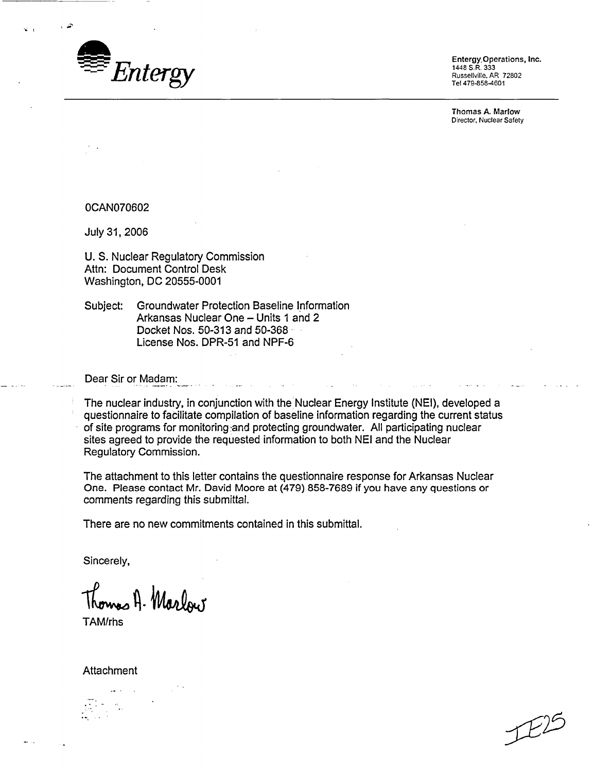

1448 S.R. 333 Russellville, AR 72802 Tel 479-858-4601

Thomas **A.** Marlow Director, Nuclear Safety

0CAN070602

July 31, 2006

U. S. Nuclear Regulatory Commission Attn: Document Control Desk Washington, DC 20555-0001

Subject: Groundwater Protection Baseline Information Arkansas Nuclear One - Units 1 and 2 Docket Nos. 50-313 and 50-368 License Nos. DPR-51 and NPF-6

Dear Sir or Madam:

The nuclear industry, in conjunction with the'Nuclear Energy Institute (NEI), developed a questionnaire to facilitate compilation of baseline information regarding the current status of site programs for monitoring and protecting groundwater. All participating nuclear sites agreed to provide the requested information to both NEI and the Nuclear Regulatory Commission.

The attachment to this letter contains the questionnaire response for Arkansas Nuclear One. Please contact Mr. David Moore at (479) 858-7689 if you have any questions or comments regarding this submittal.

There are no new commitments contained in this submittal.

Sincerely,

Thomas A. Maslow

TAM/rhs

Attachment

 $E^2$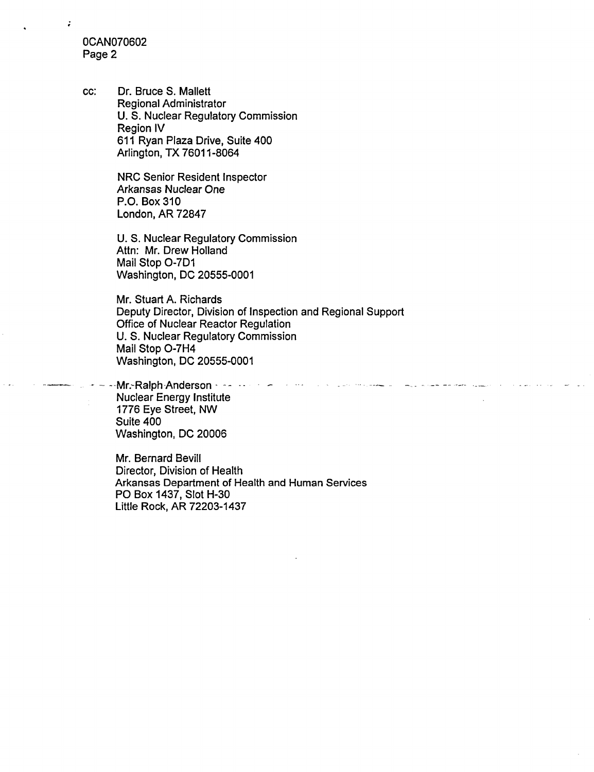0CAN070602 Page 2

÷

cc: Dr. Bruce S. Mallett Regional Administrator U. S. Nuclear Regulatory Commission Region IV 611 Ryan Plaza Drive, Suite 400 Arlington, TX 76011-8064

> NRC Senior Resident Inspector Arkansas Nuclear One P.O. Box 310 London, AR 72847

U. S. Nuclear Regulatory Commission Attn: Mr. Drew Holland Mail Stop O-7D1 Washington, DC 20555-0001

Mr. Stuart A. Richards Deputy Director, Division of Inspection and Regional Support Office of Nuclear Reactor Regulation U. S. Nuclear Regulatory Commission Mail Stop O-7H4 Washington, DC 20555-0001

..... Mr.-Ralph Anderson .. . **--** Nuclear Energy Institute 1776 Eye Street, NW Suite 400 Washington, DC 20006

Mr. Bernard Bevill Director, Division of Health Arkansas Department of Health and Human Services PO Box 1437, Slot H-30 Little Rock, AR 72203-1437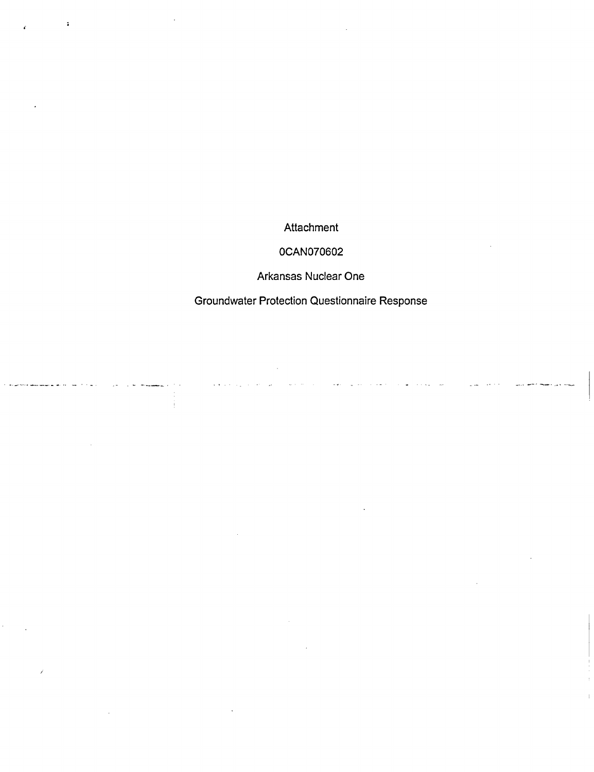Attachment

## 0CAN070602

Arkansas Nuclear One

Groundwater Protection Questionnaire Response

 $\varphi$  ,  $\varphi$  ,  $\varphi$ 

 $\bar{\omega}$  .

 $\mathbb{Z}$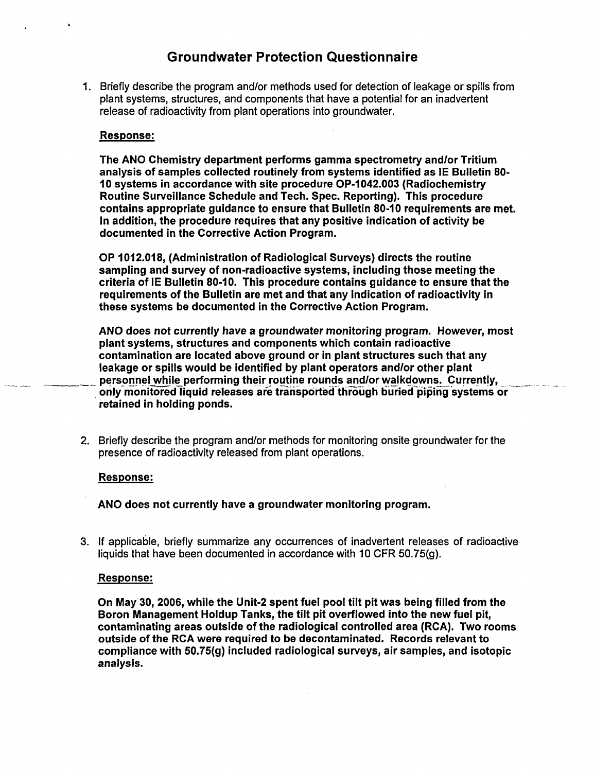# Groundwater Protection Questionnaire

1. Briefly describe the program and/or methods used for detection of leakage or spills from plant systems, structures, and components that have a potential for an inadvertent release of radioactivity from plant operations into groundwater.

## Response:

The ANO Chemistry department performs gamma spectrometry andlor Tritium analysis of samples collected routinely from systems identified as IE Bulletin 80- 10 systems in accordance with site procedure OP-1 042.003 (Radiochemistry Routine Surveillance Schedule and Tech. Spec. Reporting). This procedure contains appropriate guidance to ensure that Bulletin 80-10 requirements are met. In addition, the procedure requires that any positive indication of activity be documented in the Corrective Action Program.

OP 1012.018, (Administration of Radiological Surveys) directs the routine sampling and survey of non-radioactive systems, including those meeting the criteria of IE Bulletin 80-10. This procedure contains guidance to ensure that the requirements of the Bulletin are met and that any indication of radioactivity in these systems be documented in the Corrective Action Program.

ANO does not currently have a groundwater monitoring program. However, most plant systems, structures and components which contain radioactive contamination are located above ground or in plant structures such that any leakage or spills would be identified by plant operators and/or other plant personnel while performing their routine rounds and/or walkdowns. Currently, only monitored liquid releases are transported through buried piping systems or retained in holding ponds.

2. Briefly describe the program and/or methods for monitoring onsite groundwater for the presence of radioactivity released from plant operations.

### Response:

ANO does not currently have a groundwater monitoring program.

3. If applicable, briefly summarize any occurrences of inadvertent releases of radioactive 3. If applicable, briefly summarize any occurrences of inadvertent releases of radioactive liquids that have been documented in accordance with 10 CFR 50.75(g).

### Response:

On May 30, 2006, while the Unit-2 spent fuel pool tilt pit was being filled from the Boron Management Holdup Tanks, the tilt pit overflowed into the new fuel pit, contaminating areas outside of the radiological controlled area (RCA). Two rooms outside of the RCA were required to be decontaminated. Records relevant to compliance with 50.75(g) included radiological surveys, air samples, and isotopic analysis.